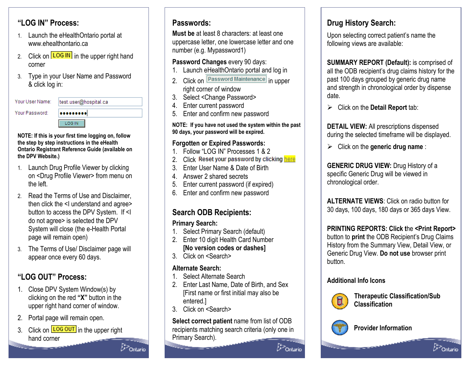## **"LOG IN" Process:**

- 1. Launch the eHealthOntario portal at www.ehealthontario.ca
- 2. Click on LLOG IN an the upper right hand corner
- 3. Type in your User Name and Password & click log in:

| Your User Name: | test.user@hospital.ca |
|-----------------|-----------------------|
| Your Password:  |                       |
|                 | <b>LOG IN</b>         |

**NOTE: If this is your first time logging on, followthe step by step instructions in the eHealth Ontario Registrant Reference Guide (available on the DPV Website.)** 

- 1. Launch Drug Profile Viewer by clicking on <Drug Profile Viewer> from menu on the left.
- 2. Read the Terms of Use and Disclaimer, then click the <I understand and agree> button to access the DPV System. If <I do not agree> is selected the DPV System will close (the e-Health Portal page will remain open)
- 3. The Terms of Use/ Disclaimer page will appear once every 60 days.

## **"LOG OUT" Process:**

- 1. Close DPV System Window(s) by clicking on the red **"X"** button in the upper right hand corner of window.
- 2. Portal page will remain open.
- 3. Click on **LOG OUT** in the upper right hand corner بر<br>Ontario

## **Passwords:**

**Must be** at least 8 characters: at least one uppercase letter, one lowercase letter and one number (e.g. Mypassword1)

#### **Password Changes** every 90 days:

- Launch eHealthOntario portal and log in 1.
- 2. Click on Leassword Maintenancel in upper right corner of window
- 3. Select <Change Password>
- 4. Enter current password
- 5. Enter and confirm new password

**NOTE: If you have not used the system within the past 90 days, your password will be expired.** 

#### **Forgotten or Expired Passwords:**

- 1. Follow "LOG IN" Processes 1 & 2
- 2. Click
- Enter User Name & Date of Birth 3.
- 4. Answer 2 shared secrets
- 5. Enter current password (if expired)
- 6. Enter and confirm new password

## **Search ODB Recipients:**

#### **Primary Search:**

- Select Primary Search (default) 1.
- 2. Enter 10 digit Health Card Number **[No version codes or dashes]**
- 3. Click on <Search>

#### **Alternate Search:**

- 1. Select Alternate Search
- 2. Enter Last Name, Date of Birth, and Sex [First name or first initial may also be entered.]
- 3. Click on <Search>

**Select correct patient** name from list of ODB recipients matching search criteria (only one in Primary Search). Dr>Ontario

# **Drug History Search:**

Upon selecting correct patient's name the following views are available:

**SUMMARY REPORT (Default):** is comprised of all the ODB recipient's drug claims history for thepast 100 days grouped by generic drug name and strength in chronological order by dispense date.

Click on the **Detail Report** tab:

**DETAIL VIEW:** All prescriptions dispensed during the selected timeframe will be displayed.

Click on the **generic drug name** :

**GENERIC DRUG VIEW:** Drug History of a specific Generic Drug will be viewed in chronological order.

**ALTERNATE VIEWS**: Click on radio button for 30 days, 100 days, 180 days or 365 days View.

**PRINTING REPORTS: Click t**he **<Print Report>** button to **print** the ODB Recipient's Drug Claims History from the Summary View, Detail View, or Generic Drug View. **Do not use** browser print button.

#### **Additional Info Icons**



**Therapeutic Classification/Sub Classification** 

Cr>Ontario



**Provider Information**